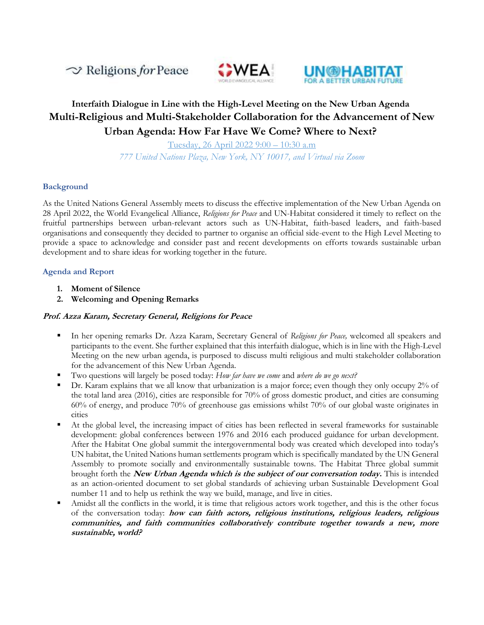$\sim$  Religions for Peace





# **Interfaith Dialogue in Line with the High-Level Meeting on the New Urban Agenda Multi-Religious and Multi-Stakeholder Collaboration for the Advancement of New Urban Agenda: How Far Have We Come? Where to Next?**

Tuesday, 26 April 2022 9:00 – 10:30 a.m *777 United Nations Plaza, New York, NY 10017, and Virtual via Zoom*

#### **Background**

As the United Nations General Assembly meets to discuss the effective implementation of the New Urban Agenda on 28 April 2022, the World Evangelical Alliance, *Religions for Peace* and UN-Habitat considered it timely to reflect on the fruitful partnerships between urban-relevant actors such as UN-Habitat, faith-based leaders, and faith-based organisations and consequently they decided to partner to organise an official side-event to the High Level Meeting to provide a space to acknowledge and consider past and recent developments on efforts towards sustainable urban development and to share ideas for working together in the future.

#### **Agenda and Report**

- **1. Moment of Silence**
- **2. Welcoming and Opening Remarks**

#### **Prof. Azza Karam, Secretary General, Religions for Peace**

- In her opening remarks Dr. Azza Karam, Secretary General of *Religions for Peace,* welcomed all speakers and participants to the event. She further explained that this interfaith dialogue, which is in line with the High-Level Meeting on the new urban agenda, is purposed to discuss multi religious and multi stakeholder collaboration for the advancement of this New Urban Agenda.
- Two questions will largely be posed today: *How far have we come* and *where do we go next?*
- Dr. Karam explains that we all know that urbanization is a major force; even though they only occupy 2% of the total land area (2016), cities are responsible for 70% of gross domestic product, and cities are consuming 60% of energy, and produce 70% of greenhouse gas emissions whilst 70% of our global waste originates in cities
- At the global level, the increasing impact of cities has been reflected in several frameworks for sustainable development: global conferences between 1976 and 2016 each produced guidance for urban development. After the Habitat One global summit the intergovernmental body was created which developed into today's UN habitat, the United Nations human settlements program which is specifically mandated by the UN General Assembly to promote socially and environmentally sustainable towns. The Habitat Three global summit brought forth the **New Urban Agenda which is the subject of our conversation today.** This is intended as an action-oriented document to set global standards of achieving urban Sustainable Development Goal number 11 and to help us rethink the way we build, manage, and live in cities.
- Amidst all the conflicts in the world, it is time that religious actors work together, and this is the other focus of the conversation today: **how can faith actors, religious institutions, religious leaders, religious communities, and faith communities collaboratively contribute together towards a new, more sustainable, world?**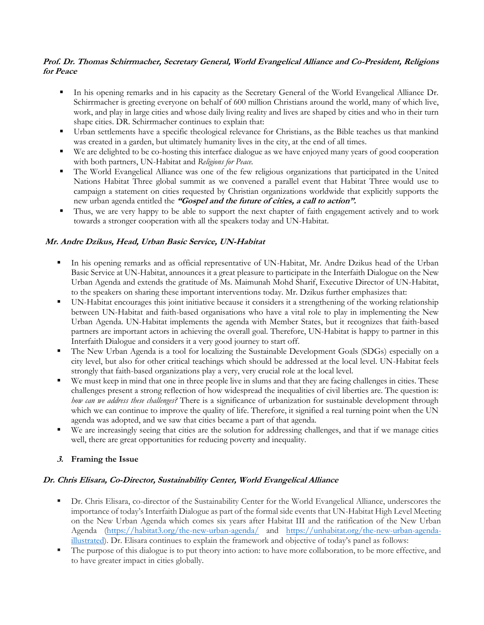#### **Prof. Dr. Thomas Schirrmacher, Secretary General, World Evangelical Alliance and Co-President, Religions for Peace**

- In his opening remarks and in his capacity as the Secretary General of the World Evangelical Alliance Dr. Schirrmacher is greeting everyone on behalf of 600 million Christians around the world, many of which live, work, and play in large cities and whose daily living reality and lives are shaped by cities and who in their turn shape cities. DR. Schirrmacher continues to explain that:
- Urban settlements have a specific theological relevance for Christians, as the Bible teaches us that mankind was created in a garden, but ultimately humanity lives in the city, at the end of all times.
- We are delighted to be co-hosting this interface dialogue as we have enjoyed many years of good cooperation with both partners, UN-Habitat and *Religions for Peace.*
- The World Evangelical Alliance was one of the few religious organizations that participated in the United Nations Habitat Three global summit as we convened a parallel event that Habitat Three would use to campaign a statement on cities requested by Christian organizations worldwide that explicitly supports the new urban agenda entitled the **"Gospel and the future of cities, a call to action".**
- Thus, we are very happy to be able to support the next chapter of faith engagement actively and to work towards a stronger cooperation with all the speakers today and UN-Habitat.

## **Mr. Andre Dzikus, Head, Urban Basic Service, UN-Habitat**

- In his opening remarks and as official representative of UN-Habitat, Mr. Andre Dzikus head of the Urban Basic Service at UN-Habitat, announces it a great pleasure to participate in the Interfaith Dialogue on the New Urban Agenda and extends the gratitude of Ms. Maimunah Mohd Sharif, Executive Director of UN-Habitat, to the speakers on sharing these important interventions today. Mr. Dzikus further emphasizes that:
- UN-Habitat encourages this joint initiative because it considers it a strengthening of the working relationship between UN-Habitat and faith-based organisations who have a vital role to play in implementing the New Urban Agenda. UN-Habitat implements the agenda with Member States, but it recognizes that faith-based partners are important actors in achieving the overall goal. Therefore, UN-Habitat is happy to partner in this Interfaith Dialogue and considers it a very good journey to start off.
- The New Urban Agenda is a tool for localizing the Sustainable Development Goals (SDGs) especially on a city level, but also for other critical teachings which should be addressed at the local level. UN-Habitat feels strongly that faith-based organizations play a very, very crucial role at the local level.
- We must keep in mind that one in three people live in slums and that they are facing challenges in cities. These challenges present a strong reflection of how widespread the inequalities of civil liberties are. The question is: *how can we address these challenges?* There is a significance of urbanization for sustainable development through which we can continue to improve the quality of life. Therefore, it signified a real turning point when the UN agenda was adopted, and we saw that cities became a part of that agenda.
- We are increasingly seeing that cities are the solution for addressing challenges, and that if we manage cities well, there are great opportunities for reducing poverty and inequality.

## **3. Framing the Issue**

## **Dr. Chris Elisara, Co-Director, Sustainability Center, World Evangelical Alliance**

- Dr. Chris Elisara, co-director of the Sustainability Center for the World Evangelical Alliance, underscores the importance of today's Interfaith Dialogue as part of the formal side events that UN-Habitat High Level Meeting on the New Urban Agenda which comes six years after Habitat III and the ratification of the New Urban Agenda [\(https://habitat3.org/the-new-urban-agenda/](https://habitat3.org/the-new-urban-agenda/) and [https://unhabitat.org/the-new-urban-agenda](https://unhabitat.org/the-new-urban-agenda-illustrated)[illustrated](https://unhabitat.org/the-new-urban-agenda-illustrated)). Dr. Elisara continues to explain the framework and objective of today's panel as follows:
- The purpose of this dialogue is to put theory into action: to have more collaboration, to be more effective, and to have greater impact in cities globally.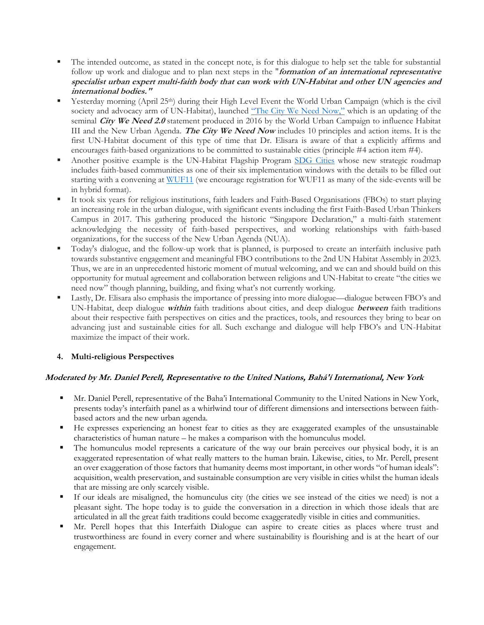- The intended outcome, as stated in the concept note, is for this dialogue to help set the table for substantial follow up work and dialogue and to plan next steps in the "**formation of an international representative specialist urban expert multi-faith body that can work with UN-Habitat and other UN agencies and international bodies."**
- Yesterday morning (April 25<sup>th</sup>) during their High Level Event the World Urban Campaign (which is the civil society and advocacy arm of UN-Habitat), launched ["The City We Need Now,"](https://www.worldurbancampaign.org/tcwn.) which is an updating of the seminal **City We Need 2.0** statement produced in 2016 by the World Urban Campaign to influence Habitat III and the New Urban Agenda. **The City We Need Now** includes 10 principles and action items. It is the first UN-Habitat document of this type of time that Dr. Elisara is aware of that a explicitly affirms and encourages faith-based organizations to be committed to sustainable cities (principle #4 action item #4).
- Another positive example is the UN-Habitat Flagship Program [SDG Cities](https://www.sdg-cities.org/) whose new strategic roadmap includes faith-based communities as one of their six implementation windows with the details to be filled out starting with a convening at [WUF11](https://wuf.unhabitat.org/) (we encourage registration for WUF11 as many of the side-events will be in hybrid format).
- It took six years for religious institutions, faith leaders and Faith-Based Organisations (FBOs) to start playing an increasing role in the urban dialogue, with significant events including the first Faith-Based Urban Thinkers Campus in 2017. This gathering produced the historic "Singapore Declaration," a multi-faith statement acknowledging the necessity of faith-based perspectives, and working relationships with faith-based organizations, for the success of the New Urban Agenda (NUA).
- Today's dialogue, and the follow-up work that is planned, is purposed to create an interfaith inclusive path towards substantive engagement and meaningful FBO contributions to the 2nd UN Habitat Assembly in 2023. Thus, we are in an unprecedented historic moment of mutual welcoming, and we can and should build on this opportunity for mutual agreement and collaboration between religions and UN-Habitat to create "the cities we need now" though planning, building, and fixing what's not currently working.
- Lastly, Dr. Elisara also emphasis the importance of pressing into more dialogue—dialogue between FBO's and UN-Habitat, deep dialogue **within** faith traditions about cities, and deep dialogue **between** faith traditions about their respective faith perspectives on cities and the practices, tools, and resources they bring to bear on advancing just and sustainable cities for all. Such exchange and dialogue will help FBO's and UN-Habitat maximize the impact of their work.

## **4. Multi-religious Perspectives**

## **Moderated by Mr. Daniel Perell, Representative to the United Nations, Bahá'í International, New York**

- Mr. Daniel Perell, representative of the Baha'i International Community to the United Nations in New York, presents today's interfaith panel as a whirlwind tour of different dimensions and intersections between faithbased actors and the new urban agenda.
- He expresses experiencing an honest fear to cities as they are exaggerated examples of the unsustainable characteristics of human nature – he makes a comparison with the homunculus model.
- The homunculus model represents a caricature of the way our brain perceives our physical body, it is an exaggerated representation of what really matters to the human brain. Likewise, cities, to Mr. Perell, present an over exaggeration of those factors that humanity deems most important, in other words "of human ideals": acquisition, wealth preservation, and sustainable consumption are very visible in cities whilst the human ideals that are missing are only scarcely visible.
- If our ideals are misaligned, the homunculus city (the cities we see instead of the cities we need) is not a pleasant sight. The hope today is to guide the conversation in a direction in which those ideals that are articulated in all the great faith traditions could become exaggeratedly visible in cities and communities.
- Mr. Perell hopes that this Interfaith Dialogue can aspire to create cities as places where trust and trustworthiness are found in every corner and where sustainability is flourishing and is at the heart of our engagement.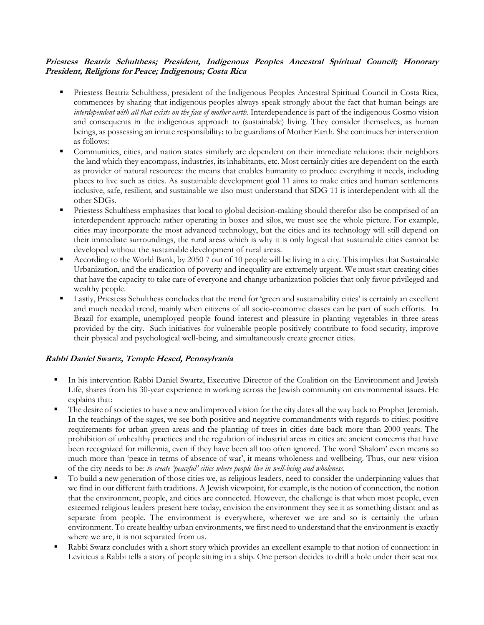#### **Priestess Beatriz Schulthess; President, Indigenous Peoples Ancestral Spiritual Council; Honorary President, Religions for Peace; Indigenous; Costa Rica**

- **Priestess Beatriz Schulthess, president of the Indigenous Peoples Ancestral Spiritual Council in Costa Rica,** commences by sharing that indigenous peoples always speak strongly about the fact that human beings are *interdependent with all that exists on the face of mother earth.* Interdependence is part of the indigenous Cosmo vision and consequents in the indigenous approach to (sustainable) living. They consider themselves, as human beings, as possessing an innate responsibility: to be guardians of Mother Earth. She continues her intervention as follows:
- Communities, cities, and nation states similarly are dependent on their immediate relations: their neighbors the land which they encompass, industries, its inhabitants, etc. Most certainly cities are dependent on the earth as provider of natural resources: the means that enables humanity to produce everything it needs, including places to live such as cities. As sustainable development goal 11 aims to make cities and human settlements inclusive, safe, resilient, and sustainable we also must understand that SDG 11 is interdependent with all the other SDGs.
- **Priestess Schulthess emphasizes that local to global decision-making should therefor also be comprised of an** interdependent approach: rather operating in boxes and silos, we must see the whole picture. For example, cities may incorporate the most advanced technology, but the cities and its technology will still depend on their immediate surroundings, the rural areas which is why it is only logical that sustainable cities cannot be developed without the sustainable development of rural areas.
- According to the World Bank, by 2050 7 out of 10 people will be living in a city. This implies that Sustainable Urbanization, and the eradication of poverty and inequality are extremely urgent. We must start creating cities that have the capacity to take care of everyone and change urbanization policies that only favor privileged and wealthy people.
- Lastly, Priestess Schulthess concludes that the trend for 'green and sustainability cities' is certainly an excellent and much needed trend, mainly when citizens of all socio-economic classes can be part of such efforts. In Brazil for example, unemployed people found interest and pleasure in planting vegetables in three areas provided by the city. Such initiatives for vulnerable people positively contribute to food security, improve their physical and psychological well-being, and simultaneously create greener cities.

## **Rabbi Daniel Swartz, Temple Hesed, Pennsylvania**

- In his intervention Rabbi Daniel Swartz, Executive Director of the Coalition on the Environment and Jewish Life, shares from his 30-year experience in working across the Jewish community on environmental issues. He explains that:
- The desire of societies to have a new and improved vision for the city dates all the way back to Prophet Jeremiah. In the teachings of the sages, we see both positive and negative commandments with regards to cities: positive requirements for urban green areas and the planting of trees in cities date back more than 2000 years. The prohibition of unhealthy practices and the regulation of industrial areas in cities are ancient concerns that have been recognized for millennia, even if they have been all too often ignored. The word 'Shalom' even means so much more than 'peace in terms of absence of war', it means wholeness and wellbeing. Thus, our new vision of the city needs to be: *to create 'peaceful' cities where people live in well-being and wholeness.*
- To build a new generation of those cities we, as religious leaders, need to consider the underpinning values that we find in our different faith traditions. A Jewish viewpoint, for example, is the notion of connection, the notion that the environment, people, and cities are connected. However, the challenge is that when most people, even esteemed religious leaders present here today, envision the environment they see it as something distant and as separate from people. The environment is everywhere, wherever we are and so is certainly the urban environment. To create healthy urban environments, we first need to understand that the environment is exactly where we are, it is not separated from us.
- Rabbi Swarz concludes with a short story which provides an excellent example to that notion of connection: in Leviticus a Rabbi tells a story of people sitting in a ship. One person decides to drill a hole under their seat not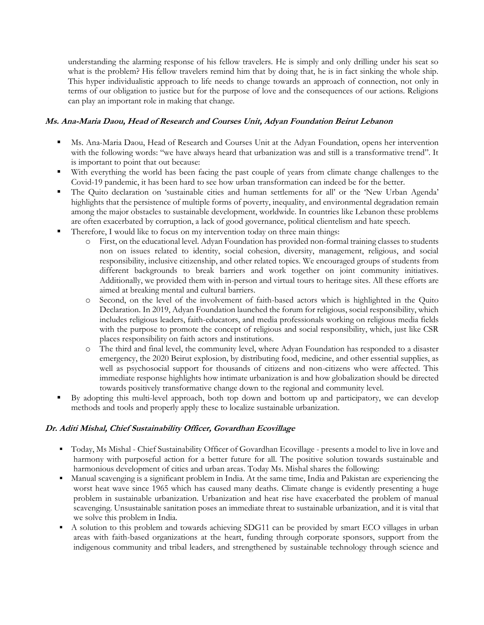understanding the alarming response of his fellow travelers. He is simply and only drilling under his seat so what is the problem? His fellow travelers remind him that by doing that, he is in fact sinking the whole ship. This hyper individualistic approach to life needs to change towards an approach of connection, not only in terms of our obligation to justice but for the purpose of love and the consequences of our actions. Religions can play an important role in making that change.

#### **Ms. Ana-Maria Daou, Head of Research and Courses Unit, Adyan Foundation Beirut Lebanon**

- Ms. Ana-Maria Daou, Head of Research and Courses Unit at the Adyan Foundation, opens her intervention with the following words: "we have always heard that urbanization was and still is a transformative trend". It is important to point that out because:
- With everything the world has been facing the past couple of years from climate change challenges to the Covid-19 pandemic, it has been hard to see how urban transformation can indeed be for the better.
- The Quito declaration on 'sustainable cities and human settlements for all' or the 'New Urban Agenda' highlights that the persistence of multiple forms of poverty, inequality, and environmental degradation remain among the major obstacles to sustainable development, worldwide. In countries like Lebanon these problems are often exacerbated by corruption, a lack of good governance, political clientelism and hate speech.
- Therefore, I would like to focus on my intervention today on three main things:
	- o First, on the educational level. Adyan Foundation has provided non-formal training classes to students non on issues related to identity, social cohesion, diversity, management, religious, and social responsibility, inclusive citizenship, and other related topics. We encouraged groups of students from different backgrounds to break barriers and work together on joint community initiatives. Additionally, we provided them with in-person and virtual tours to heritage sites. All these efforts are aimed at breaking mental and cultural barriers.
	- o Second, on the level of the involvement of faith-based actors which is highlighted in the Quito Declaration. In 2019, Adyan Foundation launched the forum for religious, social responsibility, which includes religious leaders, faith-educators, and media professionals working on religious media fields with the purpose to promote the concept of religious and social responsibility, which, just like CSR places responsibility on faith actors and institutions.
	- o The third and final level, the community level, where Adyan Foundation has responded to a disaster emergency, the 2020 Beirut explosion, by distributing food, medicine, and other essential supplies, as well as psychosocial support for thousands of citizens and non-citizens who were affected. This immediate response highlights how intimate urbanization is and how globalization should be directed towards positively transformative change down to the regional and community level.
- By adopting this multi-level approach, both top down and bottom up and participatory, we can develop methods and tools and properly apply these to localize sustainable urbanization.

## **Dr. Aditi Mishal, Chief Sustainability Officer, Govardhan Ecovillage**

- Today, Ms Mishal Chief Sustainability Officer of Govardhan Ecovillage presents a model to live in love and harmony with purposeful action for a better future for all. The positive solution towards sustainable and harmonious development of cities and urban areas. Today Ms. Mishal shares the following:
- Manual scavenging is a significant problem in India. At the same time, India and Pakistan are experiencing the worst heat wave since 1965 which has caused many deaths. Climate change is evidently presenting a huge problem in sustainable urbanization. Urbanization and heat rise have exacerbated the problem of manual scavenging. Unsustainable sanitation poses an immediate threat to sustainable urbanization, and it is vital that we solve this problem in India.
- A solution to this problem and towards achieving SDG11 can be provided by smart ECO villages in urban areas with faith-based organizations at the heart, funding through corporate sponsors, support from the indigenous community and tribal leaders, and strengthened by sustainable technology through science and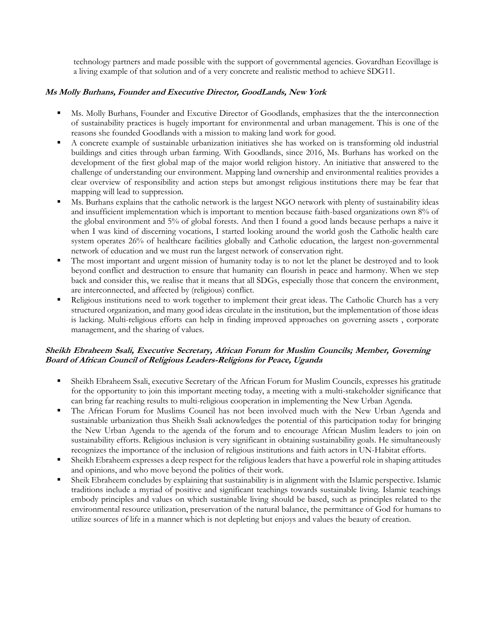technology partners and made possible with the support of governmental agencies. Govardhan Ecovillage is a living example of that solution and of a very concrete and realistic method to achieve SDG11.

## **Ms Molly Burhans, Founder and Executive Director, GoodLands, New York**

- Ms. Molly Burhans, Founder and Excutive Director of Goodlands, emphasizes that the the interconnection of sustainability practices is hugely important for environmental and urban management. This is one of the reasons she founded Goodlands with a mission to making land work for good.
- A concrete example of sustainable urbanization initiatives she has worked on is transforming old industrial buildings and cities through urban farming. With Goodlands, since 2016, Ms. Burhans has worked on the development of the first global map of the major world religion history. An initiative that answered to the challenge of understanding our environment. Mapping land ownership and environmental realities provides a clear overview of responsibility and action steps but amongst religious institutions there may be fear that mapping will lead to suppression.
- Ms. Burhans explains that the catholic network is the largest NGO network with plenty of sustainability ideas and insufficient implementation which is important to mention because faith-based organizations own 8% of the global environment and 5% of global forests. And then I found a good lands because perhaps a naive it when I was kind of discerning vocations, I started looking around the world gosh the Catholic health care system operates 26% of healthcare facilities globally and Catholic education, the largest non-governmental network of education and we must run the largest network of conservation right.
- The most important and urgent mission of humanity today is to not let the planet be destroyed and to look beyond conflict and destruction to ensure that humanity can flourish in peace and harmony. When we step back and consider this, we realise that it means that all SDGs, especially those that concern the environment, are interconnected, and affected by (religious) conflict.
- Religious institutions need to work together to implement their great ideas. The Catholic Church has a very structured organization, and many good ideas circulate in the institution, but the implementation of those ideas is lacking. Multi-religious efforts can help in finding improved approaches on governing assets , corporate management, and the sharing of values.

#### **Sheikh Ebraheem Ssali, Executive Secretary, African Forum for Muslim Councils; Member, Governing Board of African Council of Religious Leaders-Religions for Peace, Uganda**

- Sheikh Ebraheem Ssali, executive Secretary of the African Forum for Muslim Councils, expresses his gratitude for the opportunity to join this important meeting today, a meeting with a multi-stakeholder significance that can bring far reaching results to multi-religious cooperation in implementing the New Urban Agenda.
- The African Forum for Muslims Council has not been involved much with the New Urban Agenda and sustainable urbanization thus Sheikh Ssali acknowledges the potential of this participation today for bringing the New Urban Agenda to the agenda of the forum and to encourage African Muslim leaders to join on sustainability efforts. Religious inclusion is very significant in obtaining sustainability goals. He simultaneously recognizes the importance of the inclusion of religious institutions and faith actors in UN-Habitat efforts.
- Sheikh Ebraheem expresses a deep respect for the religious leaders that have a powerful role in shaping attitudes and opinions, and who move beyond the politics of their work.
- Sheik Ebraheem concludes by explaining that sustainability is in alignment with the Islamic perspective. Islamic traditions include a myriad of positive and significant teachings towards sustainable living. Islamic teachings embody principles and values on which sustainable living should be based, such as principles related to the environmental resource utilization, preservation of the natural balance, the permittance of God for humans to utilize sources of life in a manner which is not depleting but enjoys and values the beauty of creation.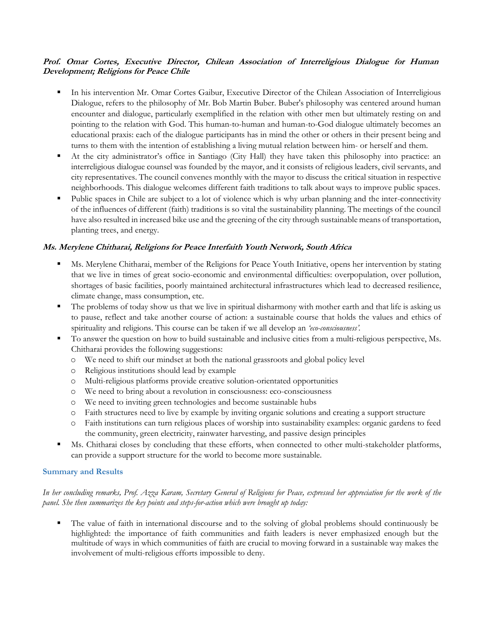#### **Prof. Omar Cortes, Executive Director, Chilean Association of Interreligious Dialogue for Human Development; Religions for Peace Chile**

- In his intervention Mr. Omar Cortes Gaibur, Executive Director of the Chilean Association of Interreligious Dialogue, refers to the philosophy of Mr. Bob Martin Buber. Buber's philosophy was centered around human encounter and dialogue, particularly exemplified in the relation with other men but ultimately resting on and pointing to the relation with God. This human-to-human and human-to-God dialogue ultimately becomes an educational praxis: each of the dialogue participants has in mind the other or others in their present being and turns to them with the intention of establishing a living mutual relation between him- or herself and them.
- At the city administrator's office in Santiago (City Hall) they have taken this philosophy into practice: an interreligious dialogue counsel was founded by the mayor, and it consists of religious leaders, civil servants, and city representatives. The council convenes monthly with the mayor to discuss the critical situation in respective neighborhoods. This dialogue welcomes different faith traditions to talk about ways to improve public spaces.
- Public spaces in Chile are subject to a lot of violence which is why urban planning and the inter-connectivity of the influences of different (faith) traditions is so vital the sustainability planning. The meetings of the council have also resulted in increased bike use and the greening of the city through sustainable means of transportation, planting trees, and energy.

## **Ms. Merylene Chitharai, Religions for Peace Interfaith Youth Network, South Africa**

- Ms. Merylene Chitharai, member of the Religions for Peace Youth Initiative, opens her intervention by stating that we live in times of great socio-economic and environmental difficulties: overpopulation, over pollution, shortages of basic facilities, poorly maintained architectural infrastructures which lead to decreased resilience, climate change, mass consumption, etc.
- The problems of today show us that we live in spiritual disharmony with mother earth and that life is asking us to pause, reflect and take another course of action: a sustainable course that holds the values and ethics of spirituality and religions. This course can be taken if we all develop an *'eco-consciousness'.*
- To answer the question on how to build sustainable and inclusive cities from a multi-religious perspective, Ms. Chitharai provides the following suggestions:
	- o We need to shift our mindset at both the national grassroots and global policy level
	- o Religious institutions should lead by example
	- o Multi-religious platforms provide creative solution-orientated opportunities
	- o We need to bring about a revolution in consciousness: eco-consciousness
	- o We need to inviting green technologies and become sustainable hubs
	- o Faith structures need to live by example by inviting organic solutions and creating a support structure
	- o Faith institutions can turn religious places of worship into sustainability examples: organic gardens to feed the community, green electricity, rainwater harvesting, and passive design principles
- Ms. Chitharai closes by concluding that these efforts, when connected to other multi-stakeholder platforms, can provide a support structure for the world to become more sustainable.

#### **Summary and Results**

#### *In her concluding remarks, Prof. Azza Karam, Secretary General of Religions for Peace, expressed her appreciation for the work of the panel. She then summarizes the key points and steps-for-action which were brought up today:*

 The value of faith in international discourse and to the solving of global problems should continuously be highlighted: the importance of faith communities and faith leaders is never emphasized enough but the multitude of ways in which communities of faith are crucial to moving forward in a sustainable way makes the involvement of multi-religious efforts impossible to deny.